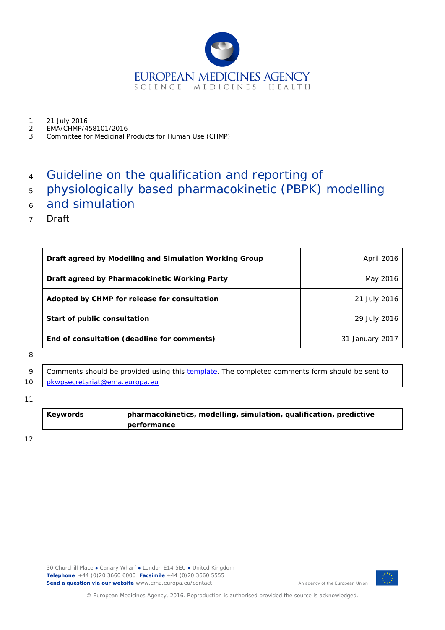

- 1 21 July 2016<br>2 FMA/CHMP/4
- 2 EMA/CHMP/458101/2016<br>3 Committee for Medicinal F
- 3 Committee for Medicinal Products for Human Use (CHMP)

# 4 Guideline on the qualification and reporting of

- <sup>5</sup> physiologically based pharmacokinetic (PBPK) modelling
- <sup>6</sup> and simulation
- 7 Draft

| Draft agreed by Modelling and Simulation Working Group | April 2016      |
|--------------------------------------------------------|-----------------|
| Draft agreed by Pharmacokinetic Working Party          | May 2016        |
| Adopted by CHMP for release for consultation           | 21 July 2016    |
| Start of public consultation                           | 29 July 2016    |
| End of consultation (deadline for comments)            | 31 January 2017 |

#### 8

9 Comments should be provided using this [template.](http://www.ema.europa.eu/docs/en_GB/document_library/Template_or_form/2009/10/WC500004016.doc) The completed comments form should be sent to 10 | [pkwpsecretariat@ema.europa.eu](mailto:pkwpsecretariat@ema.europa.eu)

#### 11

| Keywords | pharmacokinetics, modelling, simulation, qualification, predictive |
|----------|--------------------------------------------------------------------|
|          | performance                                                        |

12



An agency of the European Union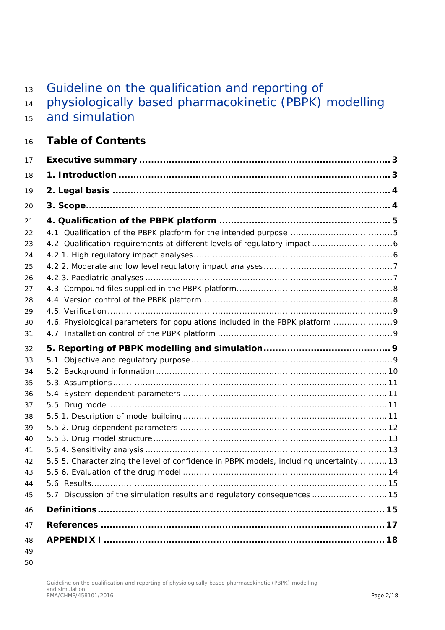# 13 Guideline on the qualification and reporting of

- physiologically based pharmacokinetic (PBPK) modelling
- and simulation

# **Table of Contents**

| 17       |                                                                                        |  |
|----------|----------------------------------------------------------------------------------------|--|
| 18       |                                                                                        |  |
| 19       |                                                                                        |  |
| 20       |                                                                                        |  |
| 21       |                                                                                        |  |
| 22       |                                                                                        |  |
| 23       |                                                                                        |  |
| 24       |                                                                                        |  |
| 25       |                                                                                        |  |
| 26       |                                                                                        |  |
| 27       |                                                                                        |  |
| 28       |                                                                                        |  |
| 29       |                                                                                        |  |
| 30       | 4.6. Physiological parameters for populations included in the PBPK platform            |  |
| 31       |                                                                                        |  |
| 32       |                                                                                        |  |
| 33       |                                                                                        |  |
| 34       |                                                                                        |  |
| 35       |                                                                                        |  |
| 36       |                                                                                        |  |
| 37       |                                                                                        |  |
| 38<br>39 |                                                                                        |  |
| 40       |                                                                                        |  |
| 41       |                                                                                        |  |
| 42       | 5.5.5. Characterizing the level of confidence in PBPK models, including uncertainty 13 |  |
| 43       |                                                                                        |  |
| 44       |                                                                                        |  |
| 45       | 5.7. Discussion of the simulation results and regulatory consequences  15              |  |
| 46       |                                                                                        |  |
| 47       |                                                                                        |  |
| 48       |                                                                                        |  |
| 49       |                                                                                        |  |

#### Guideline on the qualification and reporting of physiologically based pharmacokinetic (PBPK) modelling and simulation EMA/CHMP/458101/2016 Page 2/18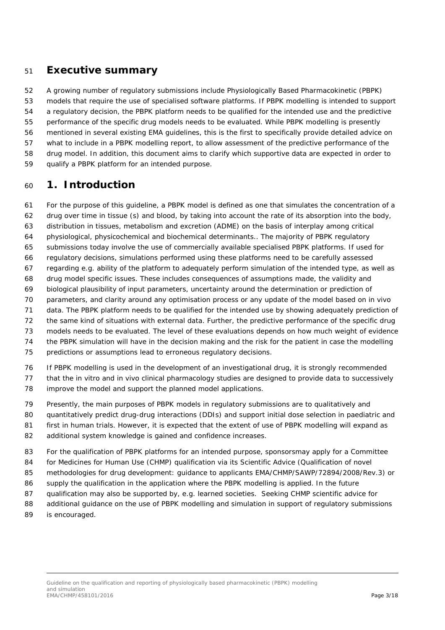### <span id="page-2-0"></span>**Executive summary**

 A growing number of regulatory submissions include Physiologically Based Pharmacokinetic (PBPK) models that require the use of specialised software platforms. If PBPK modelling is intended to support a regulatory decision, the PBPK platform needs to be qualified for the intended use and the predictive performance of the specific drug models needs to be evaluated. While PBPK modelling is presently mentioned in several existing EMA guidelines, this is the first to specifically provide detailed advice on what to include in a PBPK modelling report, to allow assessment of the predictive performance of the drug model. In addition, this document aims to clarify which supportive data are expected in order to qualify a PBPK platform for an intended purpose.

### <span id="page-2-1"></span>**1. Introduction**

 For the purpose of this guideline, a PBPK model is defined as one that simulates the concentration of a drug over time in tissue (s) and blood, by taking into account the rate of its absorption into the body, distribution in tissues, metabolism and excretion (ADME) on the basis of interplay among critical physiological, physicochemical and biochemical determinants.. The majority of PBPK regulatory submissions today involve the use of commercially available specialised PBPK platforms. If used for regulatory decisions, simulations performed using these platforms need to be carefully assessed regarding e.g. ability of the platform to adequately perform simulation of the intended type, as well as drug model specific issues. These includes consequences of assumptions made, the validity and biological plausibility of input parameters, uncertainty around the determination or prediction of parameters, and clarity around any optimisation process or any update of the model based on *in vivo* data. The PBPK platform needs to be qualified for the intended use by showing adequately prediction of the same kind of situations with external data. Further, the predictive performance of the specific drug models needs to be evaluated. The level of these evaluations depends on how much weight of evidence the PBPK simulation will have in the decision making and the risk for the patient in case the modelling predictions or assumptions lead to erroneous regulatory decisions. If PBPK modelling is used in the development of an investigational drug, it is strongly recommended

 that the *in vitro* and *in vivo* clinical pharmacology studies are designed to provide data to successively improve the model and support the planned model applications.

 Presently, the main purposes of PBPK models in regulatory submissions are to qualitatively and 80 quantitatively predict drug-drug interactions (DDIs) and support initial dose selection in paediatric and first in human trials. However, it is expected that the extent of use of PBPK modelling will expand as additional system knowledge is gained and confidence increases.

- For the qualification of PBPK platforms for an intended purpose, sponsorsmay apply for a Committee for Medicines for Human Use (CHMP) qualification via its Scientific Advice (Qualification of novel methodologies for drug development: guidance to applicants EMA/CHMP/SAWP/72894/2008/Rev.3) or supply the qualification in the application where the PBPK modelling is applied. In the future qualification may also be supported by, e.g. learned societies. Seeking CHMP scientific advice for
- additional guidance on the use of PBPK modelling and simulation in support of regulatory submissions
- is encouraged.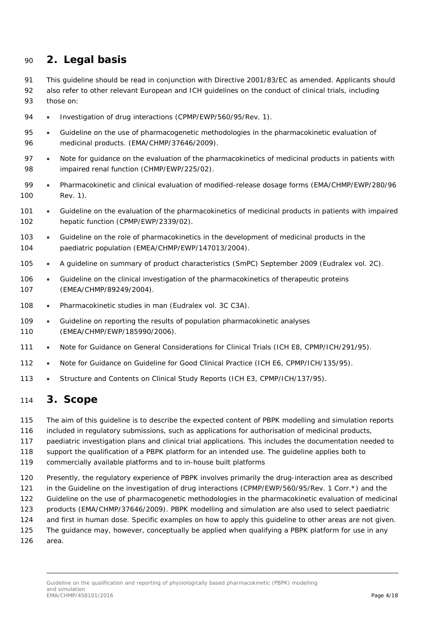### <span id="page-3-0"></span>**2. Legal basis**

- This guideline should be read in conjunction with Directive 2001/83/EC as amended. Applicants should
- 92 also refer to other relevant European and ICH quidelines on the conduct of clinical trials, including those on:
- 94 Investigation of drug interactions (CPMP/EWP/560/95/Rev. 1).
- Guideline on the use of pharmacogenetic methodologies in the pharmacokinetic evaluation of medicinal products. (EMA/CHMP/37646/2009).
- 97 Note for guidance on the evaluation of the pharmacokinetics of medicinal products in patients with impaired renal function (CHMP/EWP/225/02).
- Pharmacokinetic and clinical evaluation of modified-release dosage forms (EMA/CHMP/EWP/280/96 Rev. 1).
- 101 Guideline on the evaluation of the pharmacokinetics of medicinal products in patients with impaired hepatic function (CPMP/EWP/2339/02).
- Guideline on the role of pharmacokinetics in the development of medicinal products in the paediatric population (EMEA/CHMP/EWP/147013/2004).
- 105 A guideline on summary of product characteristics (SmPC) September 2009 (Eudralex vol. 2C).
- 106 Guideline on the clinical investigation of the pharmacokinetics of therapeutic proteins (EMEA/CHMP/89249/2004).
- 108 Pharmacokinetic studies in man (Eudralex vol. 3C C3A).
- 109 Guideline on reporting the results of population pharmacokinetic analyses (EMEA/CHMP/EWP/185990/2006).
- 111 Note for Guidance on General Considerations for Clinical Trials (ICH E8, CPMP/ICH/291/95).
- 112 Note for Guidance on Guideline for Good Clinical Practice (ICH E6, CPMP/ICH/135/95).
- 113 Structure and Contents on Clinical Study Reports (ICH E3, CPMP/ICH/137/95).

### <span id="page-3-1"></span>**3. Scope**

The aim of this guideline is to describe the expected content of PBPK modelling and simulation reports

- included in regulatory submissions, such as applications for authorisation of medicinal products,
- paediatric investigation plans and clinical trial applications. This includes the documentation needed to
- support the qualification of a PBPK platform for an intended use. The guideline applies both to
- commercially available platforms and to in-house built platforms
- Presently, the regulatory experience of PBPK involves primarily the drug-interaction area as described
- 121 in the Guideline on the investigation of drug interactions (CPMP/EWP/560/95/Rev. 1 Corr.\*) and the
- Guideline on the use of pharmacogenetic methodologies in the pharmacokinetic evaluation of medicinal
- products (EMA/CHMP/37646/2009). PBPK modelling and simulation are also used to select paediatric
- and first in human dose. Specific examples on how to apply this guideline to other areas are not given.
- The guidance may, however, conceptually be applied when qualifying a PBPK platform for use in any area.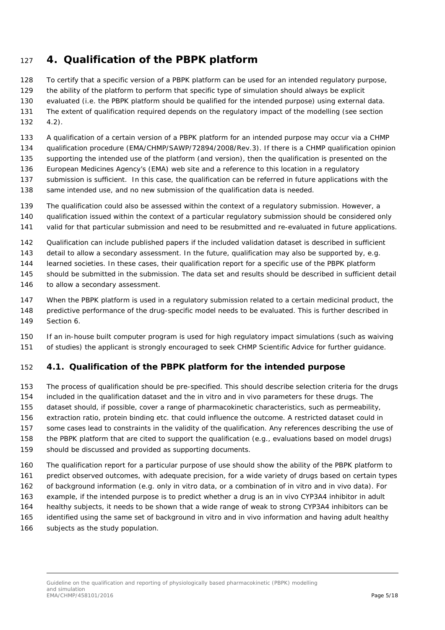# <span id="page-4-0"></span>**4. Qualification of the PBPK platform**

 To certify that a specific version of a PBPK platform can be used for an intended regulatory purpose, the ability of the platform to perform that specific type of simulation should always be explicit evaluated (i.e. the PBPK platform should be qualified for the intended purpose) using external data.

- The extent of qualification required depends on the regulatory impact of the modelling (see section 4.2).
- A qualification of a certain version of a PBPK platform for an intended purpose may occur via a CHMP qualification procedure (EMA/CHMP/SAWP/72894/2008/Rev.3). If there is a CHMP qualification opinion supporting the intended use of the platform (and version), then the qualification is presented on the
- European Medicines Agency's (EMA) web site and a reference to this location in a regulatory
- submission is sufficient. In this case, the qualification can be referred in future applications with the
- same intended use, and no new submission of the qualification data is needed.
- The qualification could also be assessed within the context of a regulatory submission. However, a
- qualification issued within the context of a particular regulatory submission should be considered only
- valid for that particular submission and need to be resubmitted and re-evaluated in future applications.
- Qualification can include published papers if the included validation dataset is described in sufficient
- 143 detail to allow a secondary assessment. In the future, qualification may also be supported by, e.g.
- learned societies. In these cases, their qualification report for a specific use of the PBPK platform
- should be submitted in the submission. The data set and results should be described in sufficient detail 146 to allow a secondary assessment.
- When the PBPK platform is used in a regulatory submission related to a certain medicinal product, the
- predictive performance of the drug-specific model needs to be evaluated. This is further described in Section 6.
- If an in-house built computer program is used for high regulatory impact simulations (such as waiving of studies) the applicant is strongly encouraged to seek CHMP Scientific Advice for further guidance.

# <span id="page-4-1"></span>*4.1. Qualification of the PBPK platform for the intended purpose*

- The process of qualification should be pre-specified. This should describe selection criteria for the drugs included in the qualification dataset and the *in vitro* and *in vivo* parameters for these drugs. The dataset should, if possible, cover a range of pharmacokinetic characteristics, such as permeability, extraction ratio, protein binding etc. that could influence the outcome. A restricted dataset could in some cases lead to constraints in the validity of the qualification. Any references describing the use of the PBPK platform that are cited to support the qualification (e.g., evaluations based on model drugs) should be discussed and provided as supporting documents.
- The qualification report for a particular purpose of use should show the ability of the PBPK platform to predict observed outcomes, with adequate precision, for a wide variety of drugs based on certain types of background information (e.g. only *in vitro* data, or a combination of *in vitro* and *in vivo* data). For example, if the intended purpose is to predict whether a drug is an *in vivo* CYP3A4 inhibitor in adult healthy subjects, it needs to be shown that a wide range of weak to strong CYP3A4 inhibitors can be identified using the same set of background *in vitro* and *in vivo* information and having adult healthy subjects as the study population.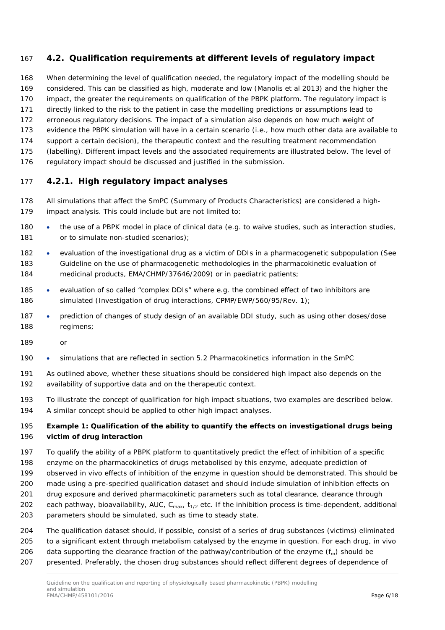### <span id="page-5-0"></span>*4.2. Qualification requirements at different levels of regulatory impact*

 When determining the level of qualification needed, the regulatory impact of the modelling should be considered. This can be classified as high, moderate and low (Manolis *et al* 2013) and the higher the

impact, the greater the requirements on qualification of the PBPK platform. The regulatory impact is

- directly linked to the risk to the patient in case the modelling predictions or assumptions lead to
- erroneous regulatory decisions. The impact of a simulation also depends on how much weight of
- evidence the PBPK simulation will have in a certain scenario (i.e., how much other data are available to support a certain decision), the therapeutic context and the resulting treatment recommendation
- (labelling). Different impact levels and the associated requirements are illustrated below. The level of
- regulatory impact should be discussed and justified in the submission.

### <span id="page-5-1"></span>**4.2.1. High regulatory impact analyses**

- All simulations that affect the SmPC (Summary of Products Characteristics) are considered a high-impact analysis. This could include but are not limited to:
- 180 the use of a PBPK model in place of clinical data (e.g. to waive studies, such as interaction studies, 181 or to simulate non-studied scenarios):
- evaluation of the investigational drug as a victim of DDIs in a pharmacogenetic subpopulation (See Guideline on the use of pharmacogenetic methodologies in the pharmacokinetic evaluation of medicinal products, EMA/CHMP/37646/2009) or in paediatric patients;
- 185 evaluation of so called "complex DDIs" where e.g. the combined effect of two inhibitors are simulated (Investigation of drug interactions, CPMP/EWP/560/95/Rev. 1);
- 187 prediction of changes of study design of an available DDI study, such as using other doses/dose regimens;
- or
- simulations that are reflected in section 5.2 Pharmacokinetics information in the SmPC
- As outlined above, whether these situations should be considered high impact also depends on the availability of supportive data and on the therapeutic context.
- To illustrate the concept of qualification for high impact situations, two examples are described below. A similar concept should be applied to other high impact analyses.

### **Example 1: Qualification of the ability to quantify the effects on investigational drugs being victim of drug interaction**

- To qualify the ability of a PBPK platform to quantitatively predict the effect of inhibition of a specific
- enzyme on the pharmacokinetics of drugs metabolised by this enzyme, adequate prediction of
- observed *in vivo* effects of inhibition of the enzyme in question should be demonstrated. This should be
- made using a pre-specified qualification dataset and should include simulation of inhibition effects on
- drug exposure and derived pharmacokinetic parameters such as total clearance, clearance through
- 202 each pathway, bioavailability, AUC,  $C_{\text{max}}$ ,  $t_{1/2}$  etc. If the inhibition process is time-dependent, additional
- parameters should be simulated, such as time to steady state.
- The qualification dataset should, if possible, consist of a series of drug substances (victims) eliminated to a significant extent through metabolism catalysed by the enzyme in question. For each drug, *in vivo* 206 data supporting the clearance fraction of the pathway/contribution of the enzyme  $(f_m)$  should be
- presented. Preferably, the chosen drug substances should reflect different degrees of dependence of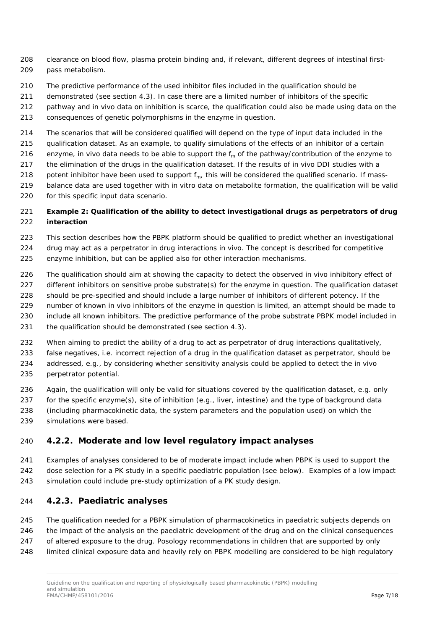- clearance on blood flow, plasma protein binding and, if relevant, different degrees of intestinal first-pass metabolism.
- The predictive performance of the used inhibitor files included in the qualification should be
- demonstrated (see section 4.3). In case there are a limited number of inhibitors of the specific
- pathway and *in vivo* data on inhibition is scarce, the qualification could also be made using data on the
- consequences of genetic polymorphisms in the enzyme in question.
- The scenarios that will be considered qualified will depend on the type of input data included in the
- qualification dataset. As an example, to qualify simulations of the effects of an inhibitor of a certain
- 216 enzyme, *in vivo* data needs to be able to support the  $f_m$  of the pathway/contribution of the enzyme to
- the elimination of the drugs in the qualification dataset. If the results of *in vivo* DDI studies with a
- 218 potent inhibitor have been used to support  $f_m$ , this will be considered the qualified scenario. If mass-
- balance data are used together with *in vitro* data on metabolite formation, the qualification will be valid for this specific input data scenario.

### **Example 2: Qualification of the ability to detect investigational drugs as perpetrators of drug interaction**

- This section describes how the PBPK platform should be qualified to predict whether an investigational drug may act as a perpetrator in drug interactions *in vivo*. The concept is described for competitive
- enzyme inhibition, but can be applied also for other interaction mechanisms.
- The qualification should aim at showing the capacity to detect the observed *in vivo* inhibitory effect of 227 different inhibitors on sensitive probe substrate(s) for the enzyme in question. The qualification dataset
- should be pre-specified and should include a large number of inhibitors of different potency. If the
- number of known *in vivo* inhibitors of the enzyme in question is limited, an attempt should be made to
- include all known inhibitors. The predictive performance of the probe substrate PBPK model included in
- 231 the qualification should be demonstrated (see section 4.3).
- 232 When aiming to predict the ability of a drug to act as perpetrator of drug interactions qualitatively,
- false negatives, i.e. incorrect rejection of a drug in the qualification dataset as perpetrator, should be
- addressed, e.g., by considering whether sensitivity analysis could be applied to detect the *in vivo* perpetrator potential.
- Again, the qualification will only be valid for situations covered by the qualification dataset, e.g. only for the specific enzyme(s), site of inhibition (e.g., liver, intestine) and the type of background data (including pharmacokinetic data, the system parameters and the population used) on which the simulations were based.

### <span id="page-6-0"></span>**4.2.2. Moderate and low level regulatory impact analyses**

- Examples of analyses considered to be of moderate impact include when PBPK is used to support the
- dose selection for a PK study in a specific paediatric population (see below). Examples of a low impact
- simulation could include pre-study optimization of a PK study design.

### <span id="page-6-1"></span>**4.2.3. Paediatric analyses**

- The qualification needed for a PBPK simulation of pharmacokinetics in paediatric subjects depends on
- the impact of the analysis on the paediatric development of the drug and on the clinical consequences
- 247 of altered exposure to the drug. Posology recommendations in children that are supported by only
- limited clinical exposure data and heavily rely on PBPK modelling are considered to be high regulatory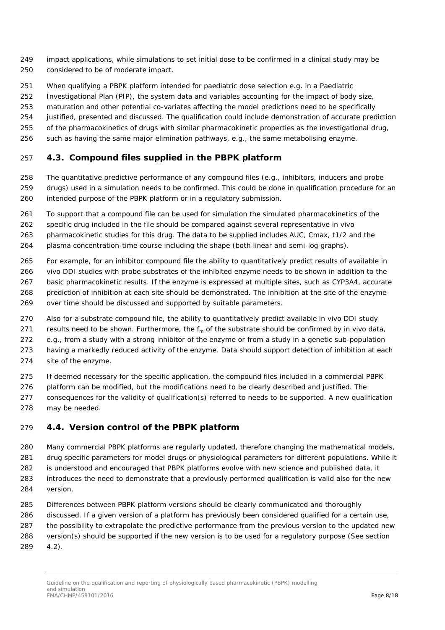- impact applications, while simulations to set initial dose to be confirmed in a clinical study may be considered to be of moderate impact.
- When qualifying a PBPK platform intended for paediatric dose selection e.g. in a Paediatric
- Investigational Plan (PIP), the system data and variables accounting for the impact of body size,
- maturation and other potential co-variates affecting the model predictions need to be specifically
- justified, presented and discussed. The qualification could include demonstration of accurate prediction
- of the pharmacokinetics of drugs with similar pharmacokinetic properties as the investigational drug,
- such as having the same major elimination pathways, e.g., the same metabolising enzyme.

### <span id="page-7-0"></span>*4.3. Compound files supplied in the PBPK platform*

- The quantitative predictive performance of any compound files (e.g., inhibitors, inducers and probe drugs) used in a simulation needs to be confirmed. This could be done in qualification procedure for an intended purpose of the PBPK platform or in a regulatory submission.
- To support that a compound file can be used for simulation the simulated pharmacokinetics of the
- specific drug included in the file should be compared against several representative *in vivo*
- pharmacokinetic studies for this drug. The data to be supplied includes AUC, Cmax, t1/2 and the
- plasma concentration-time course including the shape (both linear and semi-log graphs).
- For example, for an inhibitor compound file the ability to quantitatively predict results of available *in*
- *vivo* DDI studies with probe substrates of the inhibited enzyme needs to be shown in addition to the basic pharmacokinetic results. If the enzyme is expressed at multiple sites, such as CYP3A4, accurate prediction of inhibition at each site should be demonstrated. The inhibition at the site of the enzyme
- over time should be discussed and supported by suitable parameters.
- Also for a substrate compound file, the ability to quantitatively predict available *in vivo* DDI study
- 271 results need to be shown. Furthermore, the  $f_m$  of the substrate should be confirmed by *in vivo* data,
- e.g., from a study with a strong inhibitor of the enzyme or from a study in a genetic sub-population
- having a markedly reduced activity of the enzyme. Data should support detection of inhibition at each
- site of the enzyme.
- If deemed necessary for the specific application, the compound files included in a commercial PBPK
- 276 platform can be modified, but the modifications need to be clearly described and justified. The
- consequences for the validity of qualification(s) referred to needs to be supported. A new qualification
- may be needed.

### <span id="page-7-1"></span>*4.4. Version control of the PBPK platform*

- Many commercial PBPK platforms are regularly updated, therefore changing the mathematical models, drug specific parameters for model drugs or physiological parameters for different populations. While it
- is understood and encouraged that PBPK platforms evolve with new science and published data, it
- introduces the need to demonstrate that a previously performed qualification is valid also for the new version.
- Differences between PBPK platform versions should be clearly communicated and thoroughly
- discussed. If a given version of a platform has previously been considered qualified for a certain use,
- the possibility to extrapolate the predictive performance from the previous version to the updated new
- version(s) should be supported if the new version is to be used for a regulatory purpose (See section
- 4.2).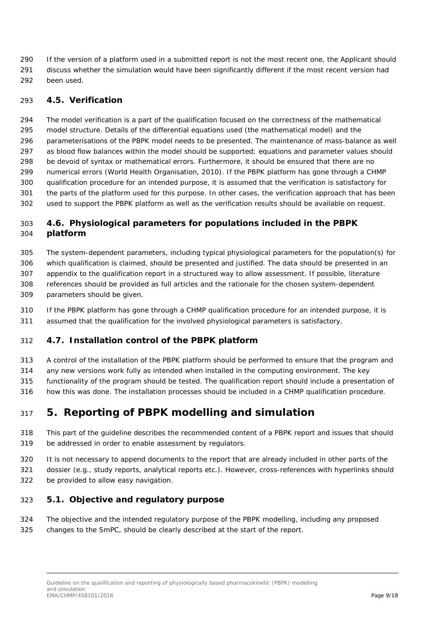If the version of a platform used in a submitted report is not the most recent one, the Applicant should discuss whether the simulation would have been significantly different if the most recent version had been used.

### <span id="page-8-0"></span>*4.5. Verification*

 The model verification is a part of the qualification focused on the correctness of the mathematical model structure. Details of the differential equations used (the mathematical model) and the parameterisations of the PBPK model needs to be presented. The maintenance of mass-balance as well as blood flow balances within the model should be supported; equations and parameter values should be devoid of syntax or mathematical errors. Furthermore, it should be ensured that there are no numerical errors (World Health Organisation, 2010). If the PBPK platform has gone through a CHMP qualification procedure for an intended purpose, it is assumed that the verification is satisfactory for the parts of the platform used for this purpose. In other cases, the verification approach that has been used to support the PBPK platform as well as the verification results should be available on request.

### <span id="page-8-1"></span> *4.6. Physiological parameters for populations included in the PBPK platform*

 The system-dependent parameters, including typical physiological parameters for the population(s) for which qualification is claimed, should be presented and justified. The data should be presented in an appendix to the qualification report in a structured way to allow assessment. If possible, literature references should be provided as full articles and the rationale for the chosen system-dependent parameters should be given.

 If the PBPK platform has gone through a CHMP qualification procedure for an intended purpose, it is assumed that the qualification for the involved physiological parameters is satisfactory.

### <span id="page-8-2"></span>*4.7. Installation control of the PBPK platform*

A control of the installation of the PBPK platform should be performed to ensure that the program and

any new versions work fully as intended when installed in the computing environment. The key

functionality of the program should be tested. The qualification report should include a presentation of

how this was done. The installation processes should be included in a CHMP qualification procedure.

# <span id="page-8-3"></span>**5. Reporting of PBPK modelling and simulation**

- This part of the guideline describes the recommended content of a PBPK report and issues that should be addressed in order to enable assessment by regulators.
- It is not necessary to append documents to the report that are already included in other parts of the
- dossier (e.g., study reports, analytical reports etc.). However, cross-references with hyperlinks should be provided to allow easy navigation.

### <span id="page-8-4"></span>*5.1. Objective and regulatory purpose*

 The objective and the intended regulatory purpose of the PBPK modelling, including any proposed changes to the SmPC, should be clearly described at the start of the report.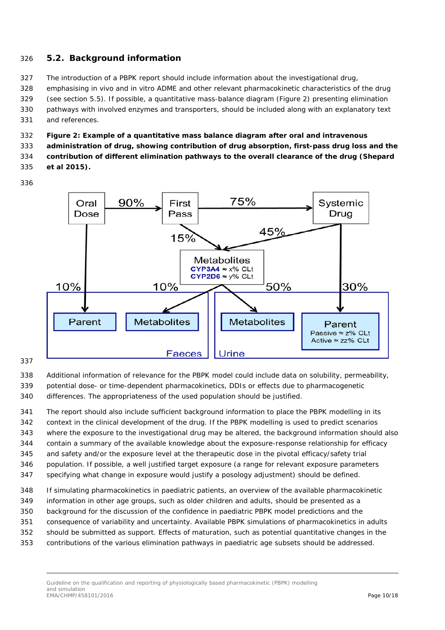### <span id="page-9-0"></span>*5.2. Background information*

- The introduction of a PBPK report should include information about the investigational drug,
- emphasising *in vivo* and *in vitro* ADME and other relevant pharmacokinetic characteristics of the drug (see section 5.5). If possible, a quantitative mass-balance diagram (Figure 2) presenting elimination pathways with involved enzymes and transporters, should be included along with an explanatory text
- and references.
- **Figure 2: Example of a quantitative mass balance diagram after oral and intravenous**
- **administration of drug, showing contribution of drug absorption, first-pass drug loss and the**
- **contribution of different elimination pathways to the overall clearance of the drug (Shepard**
- **et al 2015).**
- 



- Additional information of relevance for the PBPK model could include data on solubility, permeability, potential dose- or time-dependent pharmacokinetics, DDIs or effects due to pharmacogenetic
- differences. The appropriateness of the used population should be justified.
- The report should also include sufficient background information to place the PBPK modelling in its context in the clinical development of the drug. If the PBPK modelling is used to predict scenarios where the exposure to the investigational drug may be altered, the background information should also contain a summary of the available knowledge about the exposure-response relationship for efficacy and safety and/or the exposure level at the therapeutic dose in the pivotal efficacy/safety trial population. If possible, a well justified target exposure (a range for relevant exposure parameters specifying what change in exposure would justify a posology adjustment) should be defined.
- If simulating pharmacokinetics in paediatric patients, an overview of the available pharmacokinetic information in other age groups, such as older children and adults, should be presented as a background for the discussion of the confidence in paediatric PBPK model predictions and the consequence of variability and uncertainty. Available PBPK simulations of pharmacokinetics in adults should be submitted as support. Effects of maturation, such as potential quantitative changes in the contributions of the various elimination pathways in paediatric age subsets should be addressed.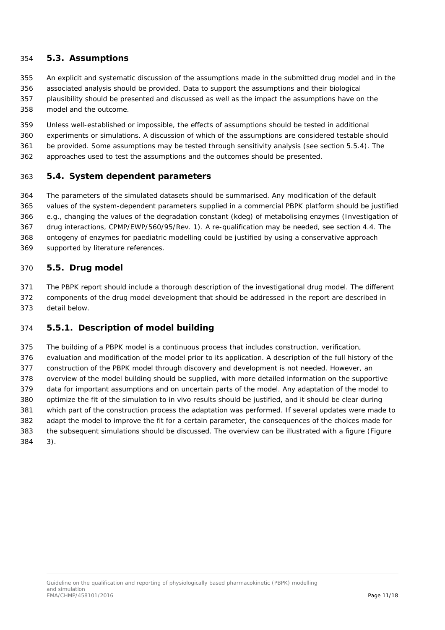### <span id="page-10-0"></span>*5.3. Assumptions*

- An explicit and systematic discussion of the assumptions made in the submitted drug model and in the
- associated analysis should be provided. Data to support the assumptions and their biological
- plausibility should be presented and discussed as well as the impact the assumptions have on the model and the outcome.
- Unless well-established or impossible, the effects of assumptions should be tested in additional
- experiments or simulations. A discussion of which of the assumptions are considered testable should
- be provided. Some assumptions may be tested through sensitivity analysis (see section 5.5.4). The
- approaches used to test the assumptions and the outcomes should be presented.

### <span id="page-10-1"></span>*5.4. System dependent parameters*

 The parameters of the simulated datasets should be summarised. Any modification of the default values of the system-dependent parameters supplied in a commercial PBPK platform should be justified e.g., changing the values of the degradation constant (kdeg) of metabolising enzymes (Investigation of drug interactions, CPMP/EWP/560/95/Rev. 1). A re-qualification may be needed, see section 4.4. The ontogeny of enzymes for paediatric modelling could be justified by using a conservative approach supported by literature references.

<span id="page-10-2"></span>*5.5. Drug model*

### The PBPK report should include a thorough description of the investigational drug model. The different

 components of the drug model development that should be addressed in the report are described in detail below.

### <span id="page-10-3"></span>**5.5.1. Description of model building**

 The building of a PBPK model is a continuous process that includes construction, verification, evaluation and modification of the model prior to its application. A description of the full history of the construction of the PBPK model through discovery and development is not needed. However, an overview of the model building should be supplied, with more detailed information on the supportive data for important assumptions and on uncertain parts of the model. Any adaptation of the model to optimize the fit of the simulation to *in vivo* results should be justified, and it should be clear during which part of the construction process the adaptation was performed. If several updates were made to adapt the model to improve the fit for a certain parameter, the consequences of the choices made for the subsequent simulations should be discussed. The overview can be illustrated with a figure (Figure 3).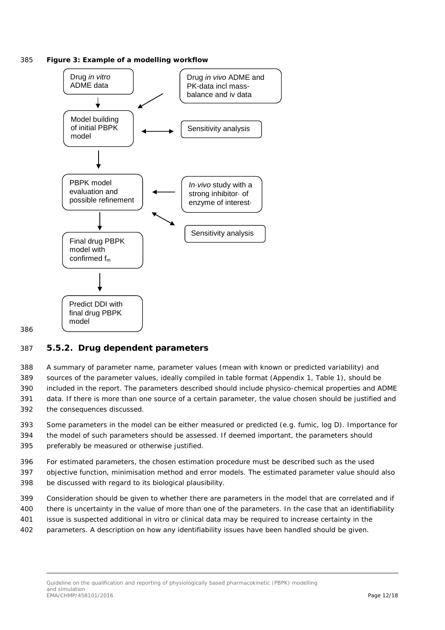385 **Figure 3: Example of a modelling workflow**



#### 386

### <span id="page-11-0"></span>387 **5.5.2. Drug dependent parameters**

 A summary of parameter name, parameter values (mean with known or predicted variability) and sources of the parameter values, ideally compiled in table format (Appendix 1, Table 1), should be included in the report. The parameters described should include physico-chemical properties and ADME data. If there is more than one source of a certain parameter, the value chosen should be justified and the consequences discussed.

393 Some parameters in the model can be either measured or predicted (e.g. fumic, log D). Importance for 394 the model of such parameters should be assessed. If deemed important, the parameters should 395 preferably be measured or otherwise justified.

396 For estimated parameters, the chosen estimation procedure must be described such as the used

397 objective function, minimisation method and error models. The estimated parameter value should also 398 be discussed with regard to its biological plausibility.

- 
- 399 Consideration should be given to whether there are parameters in the model that are correlated and if
- 400 there is uncertainty in the value of more than one of the parameters. In the case that an identifiability
- 401 issue is suspected additional *in vitro* or clinical data may be required to increase certainty in the
- 402 parameters. A description on how any identifiability issues have been handled should be given.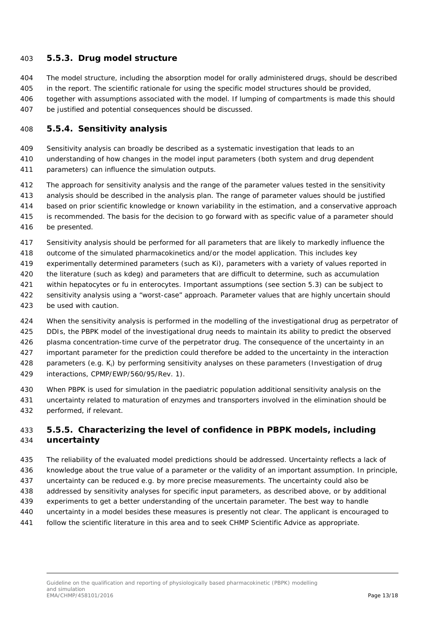### <span id="page-12-0"></span>**5.5.3. Drug model structure**

- The model structure, including the absorption model for orally administered drugs, should be described
- in the report. The scientific rationale for using the specific model structures should be provided,
- together with assumptions associated with the model. If lumping of compartments is made this should be justified and potential consequences should be discussed.

### <span id="page-12-1"></span>**5.5.4. Sensitivity analysis**

- Sensitivity analysis can broadly be described as a systematic investigation that leads to an
- understanding of how changes in the model input parameters (both system and drug dependent
- parameters) can influence the simulation outputs.
- The approach for sensitivity analysis and the range of the parameter values tested in the sensitivity
- analysis should be described in the analysis plan. The range of parameter values should be justified
- based on prior scientific knowledge or known variability in the estimation, and a conservative approach
- is recommended. The basis for the decision to go forward with as specific value of a parameter should
- be presented.
- Sensitivity analysis should be performed for all parameters that are likely to markedly influence the
- outcome of the simulated pharmacokinetics and/or the model application. This includes key
- experimentally determined parameters (such as Ki), parameters with a variety of values reported in
- the literature (such as kdeg) and parameters that are difficult to determine, such as accumulation
- within hepatocytes or fu in enterocytes. Important assumptions (see section 5.3) can be subject to
- sensitivity analysis using a "worst-case" approach. Parameter values that are highly uncertain should be used with caution.
- When the sensitivity analysis is performed in the modelling of the investigational drug as perpetrator of DDIs, the PBPK model of the investigational drug needs to maintain its ability to predict the observed 426 plasma concentration-time curve of the perpetrator drug. The consequence of the uncertainty in an important parameter for the prediction could therefore be added to the uncertainty in the interaction parameters (e.g. Ki) by performing sensitivity analyses on these parameters (Investigation of drug interactions, CPMP/EWP/560/95/Rev. 1).
- When PBPK is used for simulation in the paediatric population additional sensitivity analysis on the uncertainty related to maturation of enzymes and transporters involved in the elimination should be performed, if relevant.

### <span id="page-12-2"></span> **5.5.5. Characterizing the level of confidence in PBPK models, including uncertainty**

- The reliability of the evaluated model predictions should be addressed. Uncertainty reflects a lack of knowledge about the true value of a parameter or the validity of an important assumption. In principle,
- uncertainty can be reduced e.g. by more precise measurements. The uncertainty could also be
- addressed by sensitivity analyses for specific input parameters, as described above, or by additional
- experiments to get a better understanding of the uncertain parameter. The best way to handle
- uncertainty in a model besides these measures is presently not clear. The applicant is encouraged to
- follow the scientific literature in this area and to seek CHMP Scientific Advice as appropriate.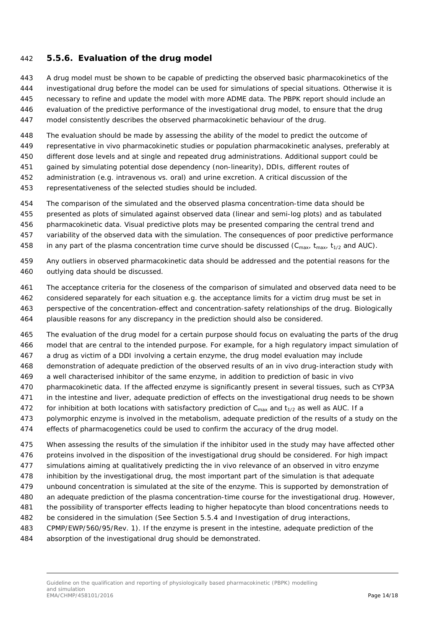### <span id="page-13-0"></span>**5.5.6. Evaluation of the drug model**

- A drug model must be shown to be capable of predicting the observed basic pharmacokinetics of the
- investigational drug before the model can be used for simulations of special situations. Otherwise it is
- necessary to refine and update the model with more ADME data. The PBPK report should include an
- evaluation of the predictive performance of the investigational drug model, to ensure that the drug
- model consistently describes the observed pharmacokinetic behaviour of the drug.
- The evaluation should be made by assessing the ability of the model to predict the outcome of
- representative *in vivo* pharmacokinetic studies or population pharmacokinetic analyses, preferably at
- different dose levels and at single and repeated drug administrations. Additional support could be
- gained by simulating potential dose dependency (non-linearity), DDIs, different routes of
- administration (e.g. intravenous vs. oral) and urine excretion. A critical discussion of the
- representativeness of the selected studies should be included.
- The comparison of the simulated and the observed plasma concentration-time data should be
- presented as plots of simulated against observed data (linear and semi-log plots) and as tabulated
- pharmacokinetic data. Visual predictive plots may be presented comparing the central trend and
- variability of the observed data with the simulation. The consequences of poor predictive performance
- 458 in any part of the plasma concentration time curve should be discussed ( $C_{\text{max}}$ ,  $t_{\text{max}}$ ,  $t_{1/2}$  and AUC).
- Any outliers in observed pharmacokinetic data should be addressed and the potential reasons for the outlying data should be discussed.
- The acceptance criteria for the closeness of the comparison of simulated and observed data need to be
- considered separately for each situation e.g. the acceptance limits for a victim drug must be set in
- perspective of the concentration-effect and concentration-safety relationships of the drug. Biologically
- plausible reasons for any discrepancy in the prediction should also be considered.
- The evaluation of the drug model for a certain purpose should focus on evaluating the parts of the drug model that are central to the intended purpose. For example, for a high regulatory impact simulation of
- a drug as victim of a DDI involving a certain enzyme, the drug model evaluation may include
- demonstration of adequate prediction of the observed results of an *in vivo* drug-interaction study with
- a well characterised inhibitor of the same enzyme, in addition to prediction of basic *in vivo*
- pharmacokinetic data. If the affected enzyme is significantly present in several tissues, such as CYP3A
- in the intestine and liver, adequate prediction of effects on the investigational drug needs to be shown
- 472 for inhibition at both locations with satisfactory prediction of  $C_{\text{max}}$  and  $t_{1/2}$  as well as AUC. If a polymorphic enzyme is involved in the metabolism, adequate prediction of the results of a study on the
- 474 effects of pharmacogenetics could be used to confirm the accuracy of the drug model.
- When assessing the results of the simulation if the inhibitor used in the study may have affected other
- 476 proteins involved in the disposition of the investigational drug should be considered. For high impact
- simulations aiming at qualitatively predicting the *in vivo* relevance of an observed *in vitro* enzyme
- inhibition by the investigational drug, the most important part of the simulation is that adequate
- unbound concentration is simulated at the site of the enzyme. This is supported by demonstration of
- an adequate prediction of the plasma concentration-time course for the investigational drug. However,
- the possibility of transporter effects leading to higher hepatocyte than blood concentrations needs to
- be considered in the simulation (See Section 5.5.4 and Investigation of drug interactions,
- CPMP/EWP/560/95/Rev. 1). If the enzyme is present in the intestine, adequate prediction of the
- absorption of the investigational drug should be demonstrated.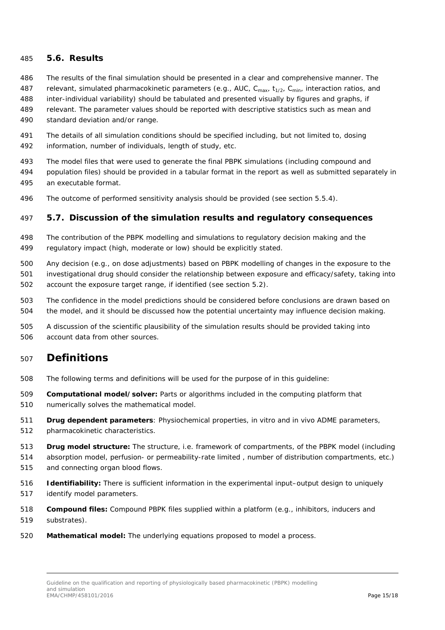### <span id="page-14-0"></span>*5.6. Results*

- The results of the final simulation should be presented in a clear and comprehensive manner. The
- 487 relevant, simulated pharmacokinetic parameters (e.g., AUC, C<sub>max</sub>,  $t_{1/2}$ , C<sub>min</sub>, interaction ratios, and
- inter-individual variability) should be tabulated and presented visually by figures and graphs, if
- relevant. The parameter values should be reported with descriptive statistics such as mean and
- standard deviation and/or range.
- The details of all simulation conditions should be specified including, but not limited to, dosing information, number of individuals, length of study, etc.
- The model files that were used to generate the final PBPK simulations (including compound and population files) should be provided in a tabular format in the report as well as submitted separately in an executable format.
- The outcome of performed sensitivity analysis should be provided (see section 5.5.4).

### <span id="page-14-1"></span>*5.7. Discussion of the simulation results and regulatory consequences*

- The contribution of the PBPK modelling and simulations to regulatory decision making and the regulatory impact (high, moderate or low) should be explicitly stated.
- Any decision (e.g., on dose adjustments) based on PBPK modelling of changes in the exposure to the investigational drug should consider the relationship between exposure and efficacy/safety, taking into account the exposure target range, if identified (see section 5.2).
- The confidence in the model predictions should be considered before conclusions are drawn based on the model, and it should be discussed how the potential uncertainty may influence decision making.
- A discussion of the scientific plausibility of the simulation results should be provided taking into account data from other sources.

### <span id="page-14-2"></span>**Definitions**

- The following terms and definitions will be used for the purpose of in this guideline:
- **Computational model/solver:** Parts or algorithms included in the computing platform that
- numerically solves the mathematical model.
- **Drug dependent parameters**: Physiochemical properties, *in vitro* and *in vivo* ADME parameters,
- pharmacokinetic characteristics.
- **Drug model structure:** The structure, i.e. framework of compartments, of the PBPK model (including
- absorption model, perfusion- or permeability-rate limited , number of distribution compartments, etc.) and connecting organ blood flows.
- **Identifiability:** There is sufficient information in the experimental input–output design to uniquely identify model parameters.
- **Compound files:** Compound PBPK files supplied within a platform (e.g., inhibitors, inducers and substrates).
- **Mathematical model:** The underlying equations proposed to model a process.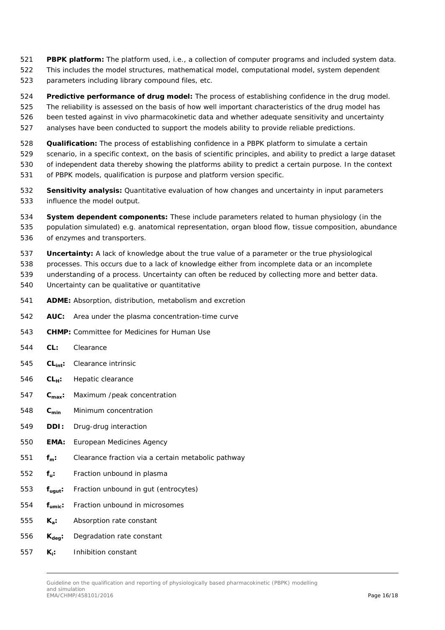- **PBPK platform:** The platform used, i.e., a collection of computer programs and included system data. This includes the model structures, mathematical model, computational model, system dependent
- parameters including library compound files, etc.
- **Predictive performance of drug model:** The process of establishing confidence in the drug model.
- The reliability is assessed on the basis of how well important characteristics of the drug model has
- been tested against *in vivo* pharmacokinetic data and whether adequate sensitivity and uncertainty
- analyses have been conducted to support the models ability to provide reliable predictions.
- **Qualification:** The process of establishing confidence in a PBPK platform to simulate a certain
- scenario, in a specific context, on the basis of scientific principles, and ability to predict a large dataset of independent data thereby showing the platforms ability to predict a certain purpose. In the context of PBPK models, qualification is purpose and platform version specific.
- **Sensitivity analysis:** Quantitative evaluation of how changes and uncertainty in input parameters influence the model output.
- **System dependent components:** These include parameters related to human physiology (in the population simulated) e.g. anatomical representation, organ blood flow, tissue composition, abundance of enzymes and transporters.
- **Uncertainty:** A lack of knowledge about the true value of a parameter or the true physiological
- processes. This occurs due to a lack of knowledge either from incomplete data or an incomplete
- understanding of a process. Uncertainty can often be reduced by collecting more and better data. Uncertainty can be qualitative or quantitative
- **ADME:** Absorption, distribution, metabolism and excretion
- **AUC:** Area under the plasma concentration-time curve
- **CHMP:** Committee for Medicines for Human Use
- **CL:** Clearance
- **CLint:** Clearance intrinsic
- 546 **CL**<sub>H</sub>: Hepatic clearance
- **Cmax:** Maximum /peak concentration
- **Cmin** Minimum concentration
- **DDI:** Drug-drug interaction
- **EMA:** European Medicines Agency
- **fm:** Clearance fraction via a certain metabolic pathway
- **fu:** Fraction unbound in plasma
- **fugut:** Fraction unbound in gut (entrocytes)
- **fumic:** Fraction unbound in microsomes
- **Ka:** Absorption rate constant
- 556 **K**<sub>deg</sub>: Degradation rate constant
- **Ki:** Inhibition constant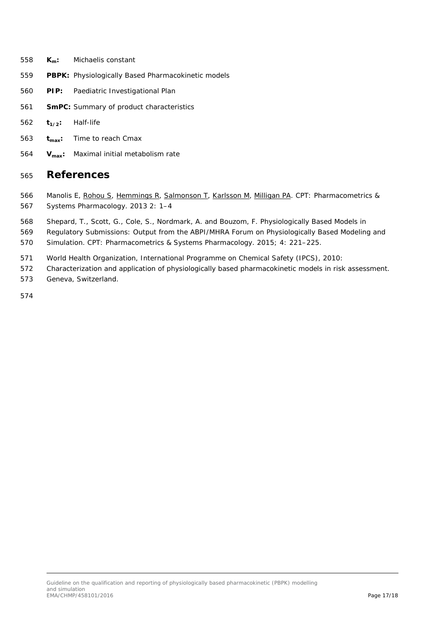- **Km:** Michaelis constant
- **PBPK:** Physiologically Based Pharmacokinetic models
- **PIP:** Paediatric Investigational Plan
- **SmPC:** Summary of product characteristics
- 562 **t**<sub>1/2</sub>: Half-life
- **tmax:** Time to reach Cmax
- **Vmax:** Maximal initial metabolism rate

### <span id="page-16-0"></span>**References**

- 566 Manolis E, [Rohou S,](http://www.ncbi.nlm.nih.gov/pubmed/?term=Rohou%20S%5BAuthor%5D&cauthor=true&cauthor_uid=23835942) [Hemmings R,](http://www.ncbi.nlm.nih.gov/pubmed/?term=Hemmings%20R%5BAuthor%5D&cauthor=true&cauthor_uid=23835942) [Salmonson T,](http://www.ncbi.nlm.nih.gov/pubmed/?term=Salmonson%20T%5BAuthor%5D&cauthor=true&cauthor_uid=23835942) [Karlsson M,](http://www.ncbi.nlm.nih.gov/pubmed/?term=Karlsson%20M%5BAuthor%5D&cauthor=true&cauthor_uid=23835942) [Milligan PA.](http://www.ncbi.nlm.nih.gov/pubmed/?term=Milligan%20PA%5BAuthor%5D&cauthor=true&cauthor_uid=23835942) CPT: Pharmacometrics & Systems Pharmacology. 2013 2: 1–4
- Shepard, T., Scott, G., Cole, S., Nordmark, A. and Bouzom, F. Physiologically Based Models in
- Regulatory Submissions: Output from the ABPI/MHRA Forum on Physiologically Based Modeling and
- Simulation. CPT: Pharmacometrics & Systems Pharmacology. 2015; 4: 221–225.
- World Health Organization, International Programme on Chemical Safety (IPCS), 2010:
- Characterization and application of physiologically based pharmacokinetic models in risk assessment.
- Geneva, Switzerland.